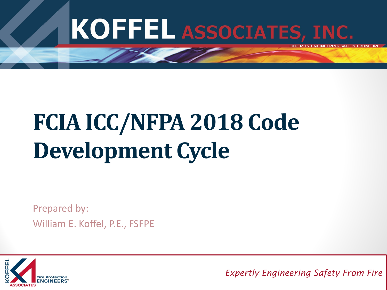

# **FCIA ICC/NFPA 2018 Code Development Cycle**

Prepared by: William E. Koffel, P.E., FSFPE



<sup>1</sup> *Expertly Engineering Safety From Fire*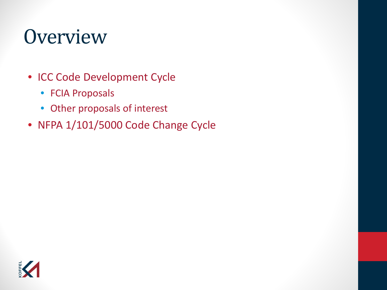#### **Overview**

- ICC Code Development Cycle
	- FCIA Proposals
	- Other proposals of interest
- NFPA 1/101/5000 Code Change Cycle

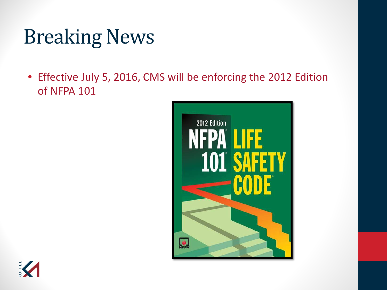#### Breaking News

• Effective July 5, 2016, CMS will be enforcing the 2012 Edition of NFPA 101



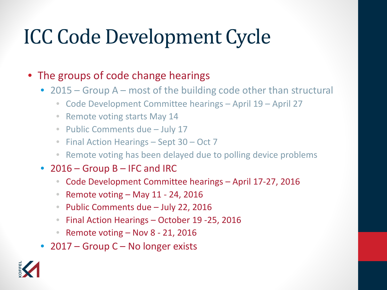#### ICC Code Development Cycle

#### • The groups of code change hearings

- 2015 Group A most of the building code other than structural
	- Code Development Committee hearings April 19 April 27
	- Remote voting starts May 14
	- Public Comments due July 17
	- Final Action Hearings Sept 30 Oct 7
	- Remote voting has been delayed due to polling device problems
- 2016 Group B IFC and IRC
	- Code Development Committee hearings April 17-27, 2016
	- Remote voting May 11 24, 2016
	- Public Comments due July 22, 2016
	- Final Action Hearings October 19 -25, 2016
	- Remote voting Nov 8 21, 2016
- 2017 Group C No longer exists

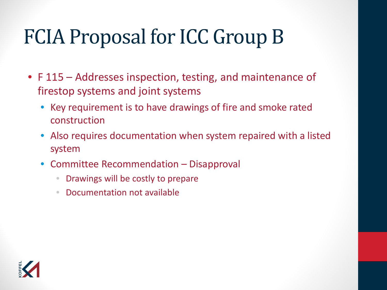#### FCIA Proposal for ICC Group B

- F 115 Addresses inspection, testing, and maintenance of firestop systems and joint systems
	- Key requirement is to have drawings of fire and smoke rated construction
	- Also requires documentation when system repaired with a listed system
	- Committee Recommendation Disapproval
		- Drawings will be costly to prepare
		- Documentation not available

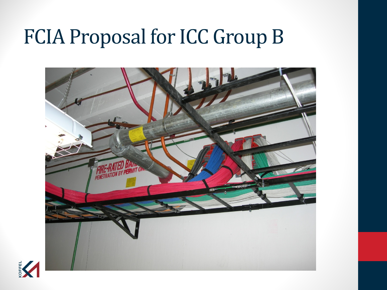#### FCIA Proposal for ICC Group B



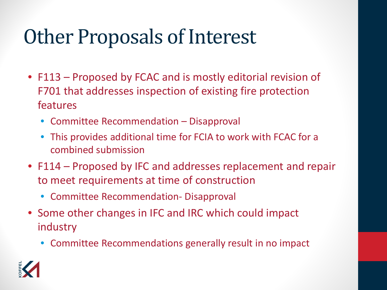#### Other Proposals of Interest

- F113 Proposed by FCAC and is mostly editorial revision of F701 that addresses inspection of existing fire protection features
	- Committee Recommendation Disapproval
	- This provides additional time for FCIA to work with FCAC for a combined submission
- F114 Proposed by IFC and addresses replacement and repair to meet requirements at time of construction
	- Committee Recommendation- Disapproval
- Some other changes in IFC and IRC which could impact industry
	- Committee Recommendations generally result in no impact

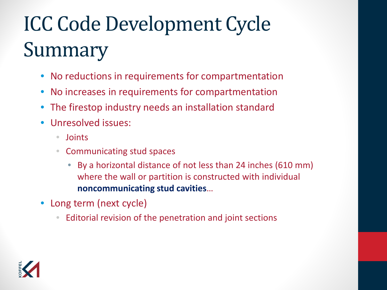# ICC Code Development Cycle Summary

- No reductions in requirements for compartmentation
- No increases in requirements for compartmentation
- The firestop industry needs an installation standard
- Unresolved issues:
	- Joints
	- Communicating stud spaces
		- By a horizontal distance of not less than 24 inches (610 mm) where the wall or partition is constructed with individual **noncommunicating stud cavities**…
- Long term (next cycle)
	- Editorial revision of the penetration and joint sections

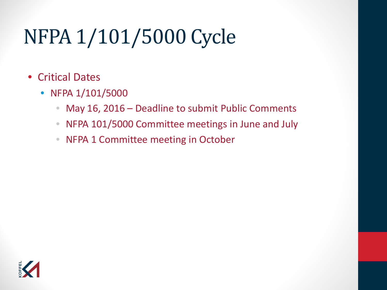## NFPA 1/101/5000 Cycle

- Critical Dates
	- NFPA 1/101/5000
		- May 16, 2016 Deadline to submit Public Comments
		- NFPA 101/5000 Committee meetings in June and July
		- NFPA 1 Committee meeting in October

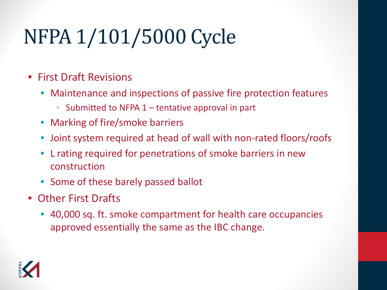# NFPA 1/101/5000 Cycle

- First Draft Revisions
	- Maintenance and inspections of passive fire protection features
		- Submitted to NFPA  $1$  tentative approval in part
	- Marking of fire/smoke barriers
	- Joint system required at head of wall with non-rated floors/roofs
	- L rating required for penetrations of smoke barriers in new construction
	- Some of these barely passed ballot
- Other First Drafts
	- 40,000 sq. ft. smoke compartment for health care occupancies approved essentially the same as the IBC change.

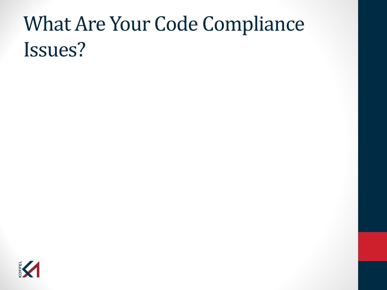### What Are Your Code Compliance Issues?